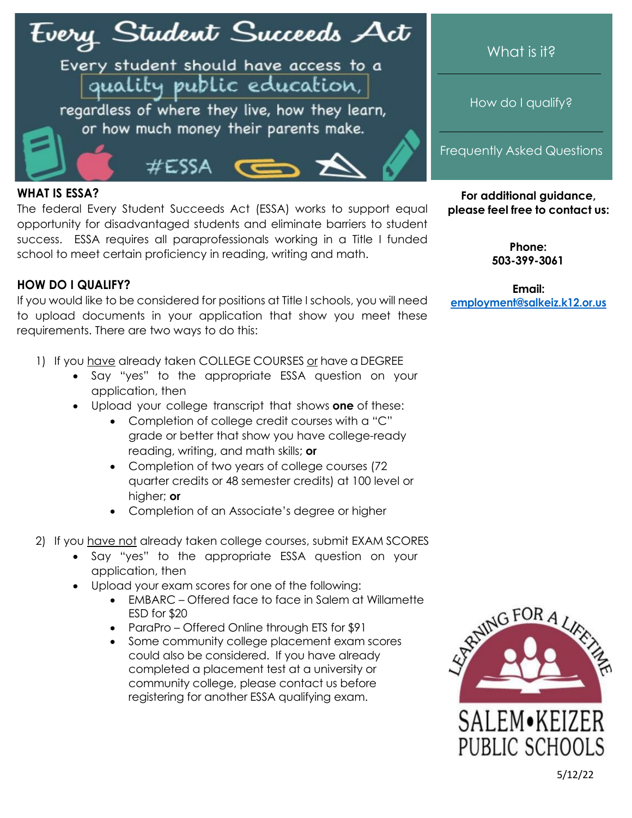# Fvery Student Succeeds Act

Every student should have access to a quality public education,

#ESSA

regardless of where they live, how they learn, or how much money their parents make.

# What is it?

How do I qualify?

Frequently Asked Questions

### **WHAT IS ESSA?**

The federal Every Student Succeeds Act (ESSA) works to support equal opportunity for disadvantaged students and eliminate barriers to student success. ESSA requires all paraprofessionals working in a Title I funded school to meet certain proficiency in reading, writing and math.

## **HOW DO I QUALIFY?**

If you would like to be considered for positions at Title I schools, you will need to upload documents in your application that show you meet these requirements. There are two ways to do this:

- 1) If you have already taken COLLEGE COURSES or have a DEGREE
	- Say "yes" to the appropriate ESSA question on your application, then
	- Upload your college transcript that shows **one** of these:
		- Completion of college credit courses with a "C" grade or better that show you have college-ready reading, writing, and math skills; **or**
		- Completion of two years of college courses (72 quarter credits or 48 semester credits) at 100 level or higher; **or**
		- Completion of an Associate's degree or higher
- 2) If you have not already taken college courses, submit EXAM SCORES
	- Say "yes" to the appropriate ESSA question on your application, then
	- Upload your exam scores for one of the following:
		- EMBARC Offered face to face in Salem at Willamette ESD for \$20
		- ParaPro Offered Online through ETS for \$91
		- Some community college placement exam scores could also be considered. If you have already completed a placement test at a university or community college, please contact us before registering for another ESSA qualifying exam.

**For additional guidance, please feel free to contact us:**

> **Phone: 503-399-3061**

**Email: [employme](mailto:employment@salkeiz.k12.or.us)[nt@salkeiz.k12.or.us](mailto:nt@salkeiz.k12.or.us)**